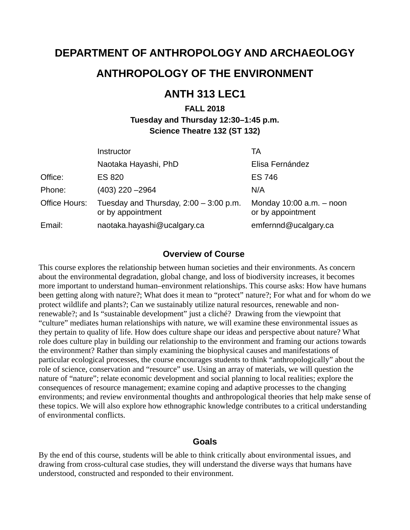# **DEPARTMENT OF ANTHROPOLOGY AND ARCHAEOLOGY**

# **ANTHROPOLOGY OF THE ENVIRONMENT**

# **ANTH 313 LEC1**

# **FALL 2018 Tuesday and Thursday 12:30–1:45 p.m. Science Theatre 132 (ST 132)**

|               | Instructor                                                    | TA                                                |
|---------------|---------------------------------------------------------------|---------------------------------------------------|
|               | Naotaka Hayashi, PhD                                          | Elisa Fernández                                   |
| Office:       | <b>ES 820</b>                                                 | <b>ES 746</b>                                     |
| Phone:        | $(403)$ 220 $-2964$                                           | N/A                                               |
| Office Hours: | Tuesday and Thursday, $2:00 - 3:00$ p.m.<br>or by appointment | Monday $10:00$ a.m. $-$ noon<br>or by appointment |
| Email:        | naotaka.hayashi@ucalgary.ca                                   | emfernnd@ucalgary.ca                              |

#### **Overview of Course**

This course explores the relationship between human societies and their environments. As concern about the environmental degradation, global change, and loss of biodiversity increases, it becomes more important to understand human–environment relationships. This course asks: How have humans been getting along with nature?; What does it mean to "protect" nature?; For what and for whom do we protect wildlife and plants?; Can we sustainably utilize natural resources, renewable and nonrenewable?; and Is "sustainable development" just a cliché? Drawing from the viewpoint that "culture" mediates human relationships with nature, we will examine these environmental issues as they pertain to quality of life. How does culture shape our ideas and perspective about nature? What role does culture play in building our relationship to the environment and framing our actions towards the environment? Rather than simply examining the biophysical causes and manifestations of particular ecological processes, the course encourages students to think "anthropologically" about the role of science, conservation and "resource" use. Using an array of materials, we will question the nature of "nature"; relate economic development and social planning to local realities; explore the consequences of resource management; examine coping and adaptive processes to the changing environments; and review environmental thoughts and anthropological theories that help make sense of these topics. We will also explore how ethnographic knowledge contributes to a critical understanding of environmental conflicts.

#### **Goals**

By the end of this course, students will be able to think critically about environmental issues, and drawing from cross-cultural case studies, they will understand the diverse ways that humans have understood, constructed and responded to their environment.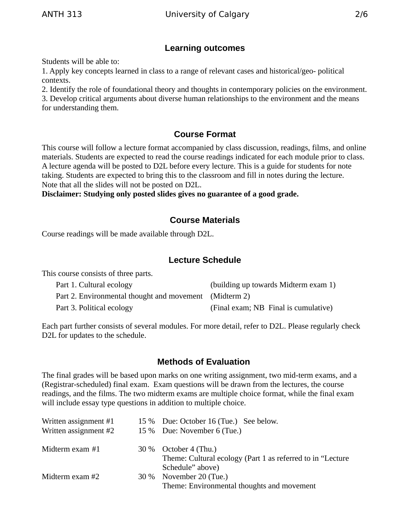# **Learning outcomes**

Students will be able to:

1. Apply key concepts learned in class to a range of relevant cases and historical/geo- political contexts.

2. Identify the role of foundational theory and thoughts in contemporary policies on the environment. 3. Develop critical arguments about diverse human relationships to the environment and the means for understanding them.

### **Course Format**

This course will follow a lecture format accompanied by class discussion, readings, films, and online materials. Students are expected to read the course readings indicated for each module prior to class. A lecture agenda will be posted to D2L before every lecture. This is a guide for students for note taking. Students are expected to bring this to the classroom and fill in notes during the lecture. Note that all the slides will not be posted on D2L.

**Disclaimer: Studying only posted slides gives no guarantee of a good grade.**

## **Course Materials**

Course readings will be made available through D2L.

#### **Lecture Schedule**

This course consists of three parts.

| Part 1. Cultural ecology                               | (building up towards Midterm exam 1) |
|--------------------------------------------------------|--------------------------------------|
| Part 2. Environmental thought and movement (Midterm 2) |                                      |
| Part 3. Political ecology                              | (Final exam; NB Final is cumulative) |

Each part further consists of several modules. For more detail, refer to D2L. Please regularly check D2L for updates to the schedule.

### **Methods of Evaluation**

The final grades will be based upon marks on one writing assignment, two mid-term exams, and a (Registrar-scheduled) final exam. Exam questions will be drawn from the lectures, the course readings, and the films. The two midterm exams are multiple choice format, while the final exam will include essay type questions in addition to multiple choice.

| Written assignment #1 | 15 % Due: October 16 (Tue.) See below.                      |
|-----------------------|-------------------------------------------------------------|
| Written assignment #2 | 15 % Due: November 6 (Tue.)                                 |
|                       |                                                             |
| Midterm exam #1       | $30\%$ October 4 (Thu.)                                     |
|                       | Theme: Cultural ecology (Part 1 as referred to in "Lecture" |
|                       | Schedule" above)                                            |
| Midterm exam #2       | 30 % November 20 (Tue.)                                     |
|                       | Theme: Environmental thoughts and movement                  |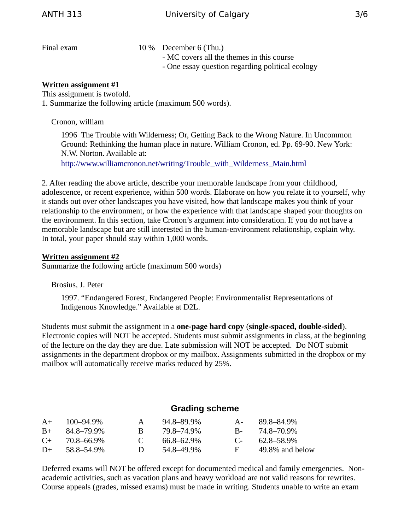Final exam 10 % December 6 (Thu.) - MC covers all the themes in this course - One essay question regarding political ecology

#### **Written assignment #1**

This assignment is twofold. 1. Summarize the following article (maximum 500 words).

Cronon, william

1996 The Trouble with Wilderness; Or, Getting Back to the Wrong Nature. In Uncommon Ground: Rethinking the human place in nature. William Cronon, ed. Pp. 69-90. New York: N.W. Norton. Available at:

[http://www.williamcronon.net/writing/Trouble\\_with\\_Wilderness\\_Main.html](http://www.williamcronon.net/writing/Trouble_with_Wilderness_Main.html)

2. After reading the above article, describe your memorable landscape from your childhood, adolescence, or recent experience, within 500 words. Elaborate on how you relate it to yourself, why it stands out over other landscapes you have visited, how that landscape makes you think of your relationship to the environment, or how the experience with that landscape shaped your thoughts on the environment. In this section, take Cronon's argument into consideration. If you do not have a memorable landscape but are still interested in the human-environment relationship, explain why. In total, your paper should stay within 1,000 words.

#### **Written assignment #2**

Summarize the following article (maximum 500 words)

Brosius, J. Peter

1997. "Endangered Forest, Endangered People: Environmentalist Representations of Indigenous Knowledge." Available at D2L.

Students must submit the assignment in a **one-page hard copy** (**single-spaced, double-sided**). Electronic copies will NOT be accepted. Students must submit assignments in class, at the beginning of the lecture on the day they are due. Late submission will NOT be accepted. Do NOT submit assignments in the department dropbox or my mailbox. Assignments submitted in the dropbox or my mailbox will automatically receive marks reduced by 25%.

#### **Grading scheme**

| $A+$      | $100 - 94.9\%$ | $\mathbf{A}$   | 94.8–89.9% | $A -$      | 89.8–84.9%      |
|-----------|----------------|----------------|------------|------------|-----------------|
| $B+$      | 84.8–79.9%     | R.             | 79.8–74.9% | <b>B</b> - | 74.8–70.9%      |
| $C_{\pm}$ | 70.8–66.9%     | $\mathbf{C}$   | 66.8–62.9% | $C_{\pm}$  | 62.8–58.9%      |
| $D+$      | 58.8–54.9%     | $\blacksquare$ | 54.8–49.9% | F.         | 49.8% and below |

Deferred exams will NOT be offered except for documented medical and family emergencies. Nonacademic activities, such as vacation plans and heavy workload are not valid reasons for rewrites. Course appeals (grades, missed exams) must be made in writing. Students unable to write an exam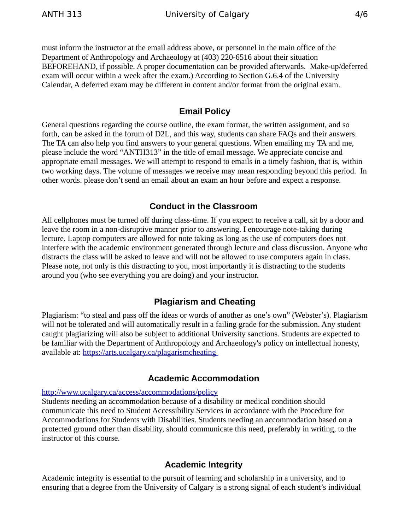must inform the instructor at the email address above, or personnel in the main office of the Department of Anthropology and Archaeology at (403) 220-6516 about their situation BEFOREHAND, if possible. A proper documentation can be provided afterwards. Make-up/deferred exam will occur within a week after the exam.) According to Section G.6.4 of the University Calendar, A deferred exam may be different in content and/or format from the original exam.

### **Email Policy**

General questions regarding the course outline, the exam format, the written assignment, and so forth, can be asked in the forum of D2L, and this way, students can share FAQs and their answers. The TA can also help you find answers to your general questions. When emailing my TA and me, please include the word "ANTH313" in the title of email message. We appreciate concise and appropriate email messages. We will attempt to respond to emails in a timely fashion, that is, within two working days. The volume of messages we receive may mean responding beyond this period. In other words. please don't send an email about an exam an hour before and expect a response.

# **Conduct in the Classroom**

All cellphones must be turned off during class-time. If you expect to receive a call, sit by a door and leave the room in a non-disruptive manner prior to answering. I encourage note-taking during lecture. Laptop computers are allowed for note taking as long as the use of computers does not interfere with the academic environment generated through lecture and class discussion. Anyone who distracts the class will be asked to leave and will not be allowed to use computers again in class. Please note, not only is this distracting to you, most importantly it is distracting to the students around you (who see everything you are doing) and your instructor.

# **Plagiarism and Cheating**

Plagiarism: "to steal and pass off the ideas or words of another as one's own" (Webster's). Plagiarism will not be tolerated and will automatically result in a failing grade for the submission. Any student caught plagiarizing will also be subject to additional University sanctions. Students are expected to be familiar with the Department of Anthropology and Archaeology's policy on intellectual honesty, available at:<https://arts.ucalgary.ca/plagarismcheating>

### **Academic Accommodation**

#### <http://www.ucalgary.ca/access/accommodations/policy>

Students needing an accommodation because of a disability or medical condition should communicate this need to Student Accessibility Services in accordance with the Procedure for Accommodations for Students with Disabilities. Students needing an accommodation based on a protected ground other than disability, should communicate this need, preferably in writing, to the instructor of this course.

# **Academic Integrity**

Academic integrity is essential to the pursuit of learning and scholarship in a university, and to ensuring that a degree from the University of Calgary is a strong signal of each student's individual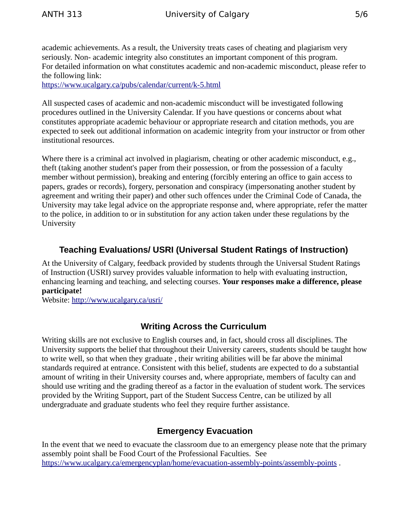academic achievements. As a result, the University treats cases of cheating and plagiarism very seriously. Non- academic integrity also constitutes an important component of this program. For detailed information on what constitutes academic and non-academic misconduct, please refer to the following link:

<https://www.ucalgary.ca/pubs/calendar/current/k-5.html>

All suspected cases of academic and non-academic misconduct will be investigated following procedures outlined in the University Calendar. If you have questions or concerns about what constitutes appropriate academic behaviour or appropriate research and citation methods, you are expected to seek out additional information on academic integrity from your instructor or from other institutional resources.

Where there is a criminal act involved in plagiarism, cheating or other academic misconduct, e.g., theft (taking another student's paper from their possession, or from the possession of a faculty member without permission), breaking and entering (forcibly entering an office to gain access to papers, grades or records), forgery, personation and conspiracy (impersonating another student by agreement and writing their paper) and other such offences under the Criminal Code of Canada, the University may take legal advice on the appropriate response and, where appropriate, refer the matter to the police, in addition to or in substitution for any action taken under these regulations by the University

# **Teaching Evaluations/ USRI (Universal Student Ratings of Instruction)**

At the University of Calgary, feedback provided by students through the Universal Student Ratings of Instruction (USRI) survey provides valuable information to help with evaluating instruction, enhancing learning and teaching, and selecting courses. **Your responses make a difference, please participate!** 

Website:<http://www.ucalgary.ca/usri/>

# **Writing Across the Curriculum**

Writing skills are not exclusive to English courses and, in fact, should cross all disciplines. The University supports the belief that throughout their University careers, students should be taught how to write well, so that when they graduate , their writing abilities will be far above the minimal standards required at entrance. Consistent with this belief, students are expected to do a substantial amount of writing in their University courses and, where appropriate, members of faculty can and should use writing and the grading thereof as a factor in the evaluation of student work. The services provided by the Writing Support, part of the Student Success Centre, can be utilized by all undergraduate and graduate students who feel they require further assistance.

# **Emergency Evacuation**

In the event that we need to evacuate the classroom due to an emergency please note that the primary assembly point shall be Food Court of the Professional Faculties. See <https://www.ucalgary.ca/emergencyplan/home/evacuation-assembly-points/assembly-points>.